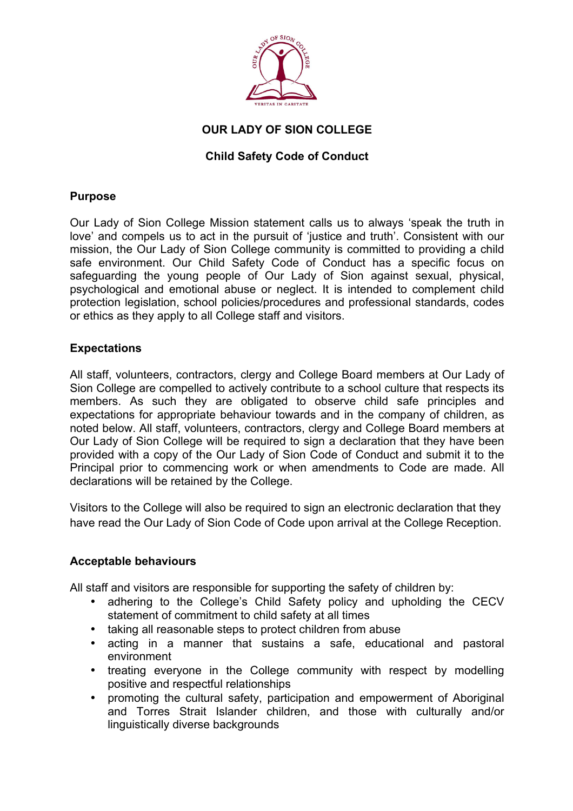

# **OUR LADY OF SION COLLEGE**

# **Child Safety Code of Conduct**

## **Purpose**

Our Lady of Sion College Mission statement calls us to always 'speak the truth in love' and compels us to act in the pursuit of 'justice and truth'. Consistent with our mission, the Our Lady of Sion College community is committed to providing a child safe environment. Our Child Safety Code of Conduct has a specific focus on safeguarding the young people of Our Lady of Sion against sexual, physical, psychological and emotional abuse or neglect. It is intended to complement child protection legislation, school policies/procedures and professional standards, codes or ethics as they apply to all College staff and visitors.

## **Expectations**

All staff, volunteers, contractors, clergy and College Board members at Our Lady of Sion College are compelled to actively contribute to a school culture that respects its members. As such they are obligated to observe child safe principles and expectations for appropriate behaviour towards and in the company of children, as noted below. All staff, volunteers, contractors, clergy and College Board members at Our Lady of Sion College will be required to sign a declaration that they have been provided with a copy of the Our Lady of Sion Code of Conduct and submit it to the Principal prior to commencing work or when amendments to Code are made. All declarations will be retained by the College.

Visitors to the College will also be required to sign an electronic declaration that they have read the Our Lady of Sion Code of Code upon arrival at the College Reception.

### **Acceptable behaviours**

All staff and visitors are responsible for supporting the safety of children by:

- adhering to the College's Child Safety policy and upholding the CECV statement of commitment to child safety at all times
- taking all reasonable steps to protect children from abuse
- acting in a manner that sustains a safe, educational and pastoral environment
- treating everyone in the College community with respect by modelling positive and respectful relationships
- promoting the cultural safety, participation and empowerment of Aboriginal and Torres Strait Islander children, and those with culturally and/or linguistically diverse backgrounds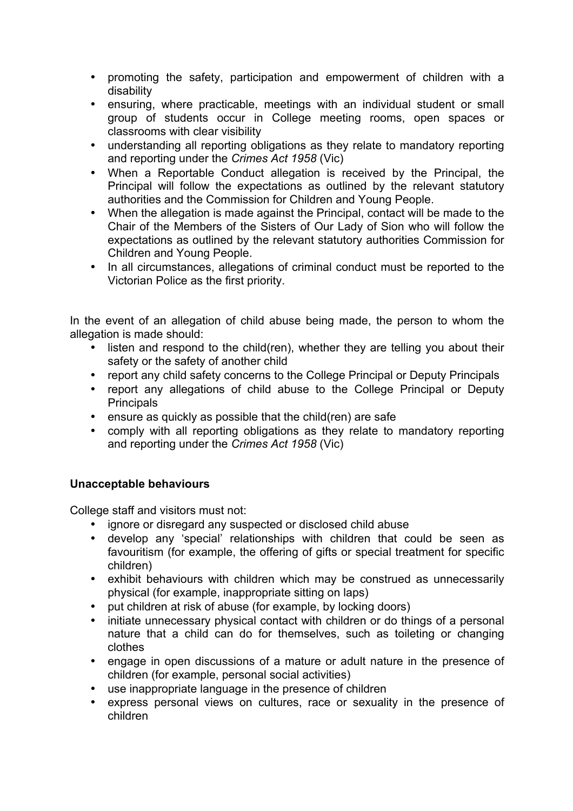- promoting the safety, participation and empowerment of children with a disability
- ensuring, where practicable, meetings with an individual student or small group of students occur in College meeting rooms, open spaces or classrooms with clear visibility
- understanding all reporting obligations as they relate to mandatory reporting and reporting under the *Crimes Act 1958* (Vic)
- When a Reportable Conduct allegation is received by the Principal, the Principal will follow the expectations as outlined by the relevant statutory authorities and the Commission for Children and Young People.
- When the allegation is made against the Principal, contact will be made to the Chair of the Members of the Sisters of Our Lady of Sion who will follow the expectations as outlined by the relevant statutory authorities Commission for Children and Young People.
- In all circumstances, allegations of criminal conduct must be reported to the Victorian Police as the first priority.

In the event of an allegation of child abuse being made, the person to whom the allegation is made should:

- listen and respond to the child(ren), whether they are telling you about their safety or the safety of another child
- report any child safety concerns to the College Principal or Deputy Principals
- report any allegations of child abuse to the College Principal or Deputy **Principals**
- ensure as quickly as possible that the child(ren) are safe
- comply with all reporting obligations as they relate to mandatory reporting and reporting under the *Crimes Act 1958* (Vic)

# **Unacceptable behaviours**

College staff and visitors must not:

- ignore or disregard any suspected or disclosed child abuse
- develop any 'special' relationships with children that could be seen as favouritism (for example, the offering of gifts or special treatment for specific children)
- exhibit behaviours with children which may be construed as unnecessarily physical (for example, inappropriate sitting on laps)
- put children at risk of abuse (for example, by locking doors)
- initiate unnecessary physical contact with children or do things of a personal nature that a child can do for themselves, such as toileting or changing clothes
- engage in open discussions of a mature or adult nature in the presence of children (for example, personal social activities)
- use inappropriate language in the presence of children
- express personal views on cultures, race or sexuality in the presence of children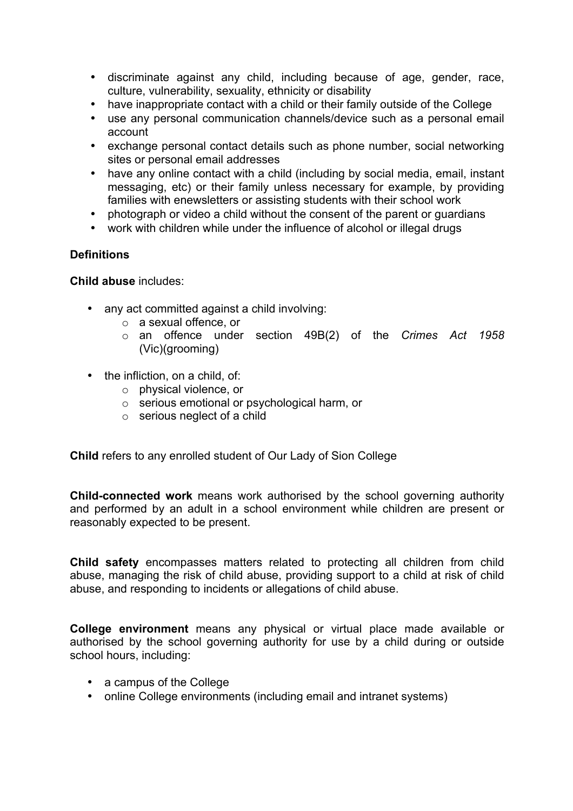- discriminate against any child, including because of age, gender, race, culture, vulnerability, sexuality, ethnicity or disability
- have inappropriate contact with a child or their family outside of the College
- use any personal communication channels/device such as a personal email account
- exchange personal contact details such as phone number, social networking sites or personal email addresses
- have any online contact with a child (including by social media, email, instant messaging, etc) or their family unless necessary for example, by providing families with enewsletters or assisting students with their school work
- photograph or video a child without the consent of the parent or guardians
- work with children while under the influence of alcohol or illegal drugs

### **Definitions**

**Child abuse** includes:

- any act committed against a child involving:
	- o a sexual offence, or
	- o an offence under section 49B(2) of the *Crimes Act 1958* (Vic)(grooming)
- the infliction, on a child, of:
	- o physical violence, or
	- o serious emotional or psychological harm, or
	- o serious neglect of a child

**Child** refers to any enrolled student of Our Lady of Sion College

**Child-connected work** means work authorised by the school governing authority and performed by an adult in a school environment while children are present or reasonably expected to be present.

**Child safety** encompasses matters related to protecting all children from child abuse, managing the risk of child abuse, providing support to a child at risk of child abuse, and responding to incidents or allegations of child abuse.

**College environment** means any physical or virtual place made available or authorised by the school governing authority for use by a child during or outside school hours, including:

- a campus of the College
- online College environments (including email and intranet systems)